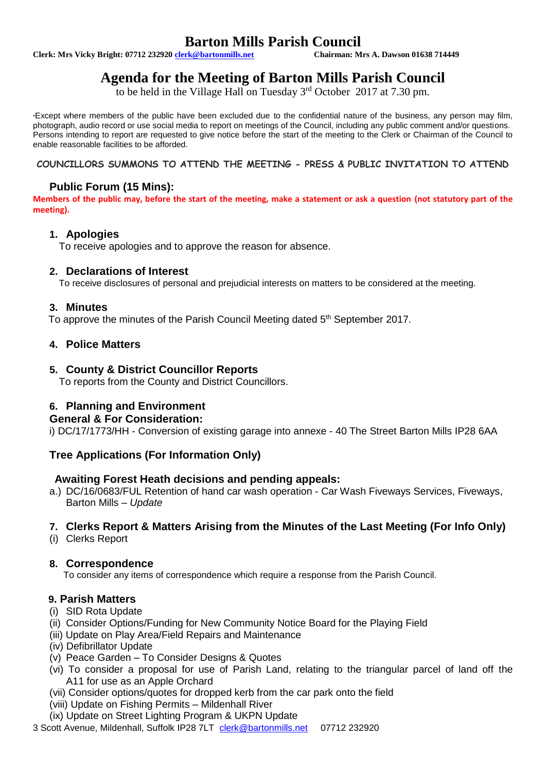# **Barton Mills Parish Council**<br>Chairman: Mrs A. Dawson 01638 714449

**Clerk: Mrs Vicky Bright: 07712 232920 clerk@bartonmills.net** 

# **Agenda for the Meeting of Barton Mills Parish Council**

to be held in the Village Hall on Tuesday 3<sup>rd</sup> October 2017 at 7.30 pm.

\*Except where members of the public have been excluded due to the confidential nature of the business, any person may film, photograph, audio record or use social media to report on meetings of the Council, including any public comment and/or questions. Persons intending to report are requested to give notice before the start of the meeting to the Clerk or Chairman of the Council to enable reasonable facilities to be afforded.

#### **COUNCILLORS SUMMONS TO ATTEND THE MEETING - PRESS & PUBLIC INVITATION TO ATTEND**

# **Public Forum (15 Mins):**

**Members of the public may, before the start of the meeting, make a statement or ask a question (not statutory part of the meeting).**

#### **1. Apologies**

To receive apologies and to approve the reason for absence.

#### **2. Declarations of Interest**

To receive disclosures of personal and prejudicial interests on matters to be considered at the meeting.

#### **3. Minutes**

To approve the minutes of the Parish Council Meeting dated 5<sup>th</sup> September 2017.

# **4. Police Matters**

#### **5. County & District Councillor Reports**

To reports from the County and District Councillors.

# **6. Planning and Environment**

#### **General & For Consideration:**

i) DC/17/1773/HH - Conversion of existing garage into annexe - 40 The Street Barton Mills IP28 6AA

# **Tree Applications (For Information Only)**

# **Awaiting Forest Heath decisions and pending appeals:**

a.) DC/16/0683/FUL Retention of hand car wash operation - Car Wash Fiveways Services, Fiveways, Barton Mills – *Update*

# **7. Clerks Report & Matters Arising from the Minutes of the Last Meeting (For Info Only)**

(i) Clerks Report

#### **8. Correspondence**

To consider any items of correspondence which require a response from the Parish Council.

# **9. Parish Matters**

- (i) SID Rota Update
- (ii) Consider Options/Funding for New Community Notice Board for the Playing Field
- (iii) Update on Play Area/Field Repairs and Maintenance
- (iv) Defibrillator Update
- (v) Peace Garden To Consider Designs & Quotes
- (vi) To consider a proposal for use of Parish Land, relating to the triangular parcel of land off the A11 for use as an Apple Orchard
- (vii) Consider options/quotes for dropped kerb from the car park onto the field
- (viii) Update on Fishing Permits Mildenhall River
- (ix) Update on Street Lighting Program & UKPN Update
- 3 Scott Avenue, Mildenhall, Suffolk IP28 7LT [clerk@bartonmills.net](mailto:clerk@bartonmills.net) 07712 232920